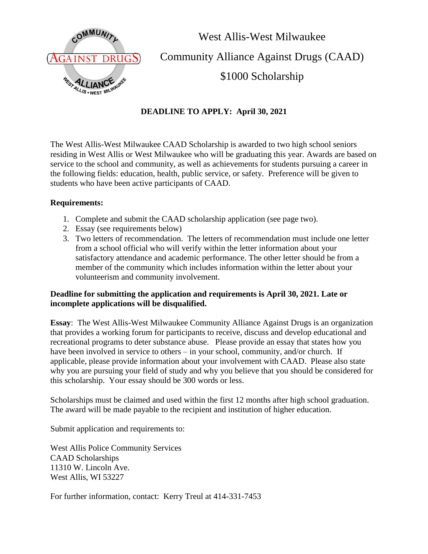

West Allis-West Milwaukee Community Alliance Against Drugs (CAAD) \$1000 Scholarship

## **DEADLINE TO APPLY: April 30, 2021**

The West Allis-West Milwaukee CAAD Scholarship is awarded to two high school seniors residing in West Allis or West Milwaukee who will be graduating this year. Awards are based on service to the school and community, as well as achievements for students pursuing a career in the following fields: education, health, public service, or safety. Preference will be given to students who have been active participants of CAAD.

## **Requirements:**

- 1. Complete and submit the CAAD scholarship application (see page two).
- 2. Essay (see requirements below)
- 3. Two letters of recommendation. The letters of recommendation must include one letter from a school official who will verify within the letter information about your satisfactory attendance and academic performance. The other letter should be from a member of the community which includes information within the letter about your volunteerism and community involvement.

## **Deadline for submitting the application and requirements is April 30, 2021. Late or incomplete applications will be disqualified.**

**Essay**: The West Allis-West Milwaukee Community Alliance Against Drugs is an organization that provides a working forum for participants to receive, discuss and develop educational and recreational programs to deter substance abuse. Please provide an essay that states how you have been involved in service to others – in your school, community, and/or church. If applicable, please provide information about your involvement with CAAD. Please also state why you are pursuing your field of study and why you believe that you should be considered for this scholarship. Your essay should be 300 words or less.

Scholarships must be claimed and used within the first 12 months after high school graduation. The award will be made payable to the recipient and institution of higher education.

Submit application and requirements to:

West Allis Police Community Services CAAD Scholarships 11310 W. Lincoln Ave. West Allis, WI 53227

For further information, contact: Kerry Treul at 414-331-7453